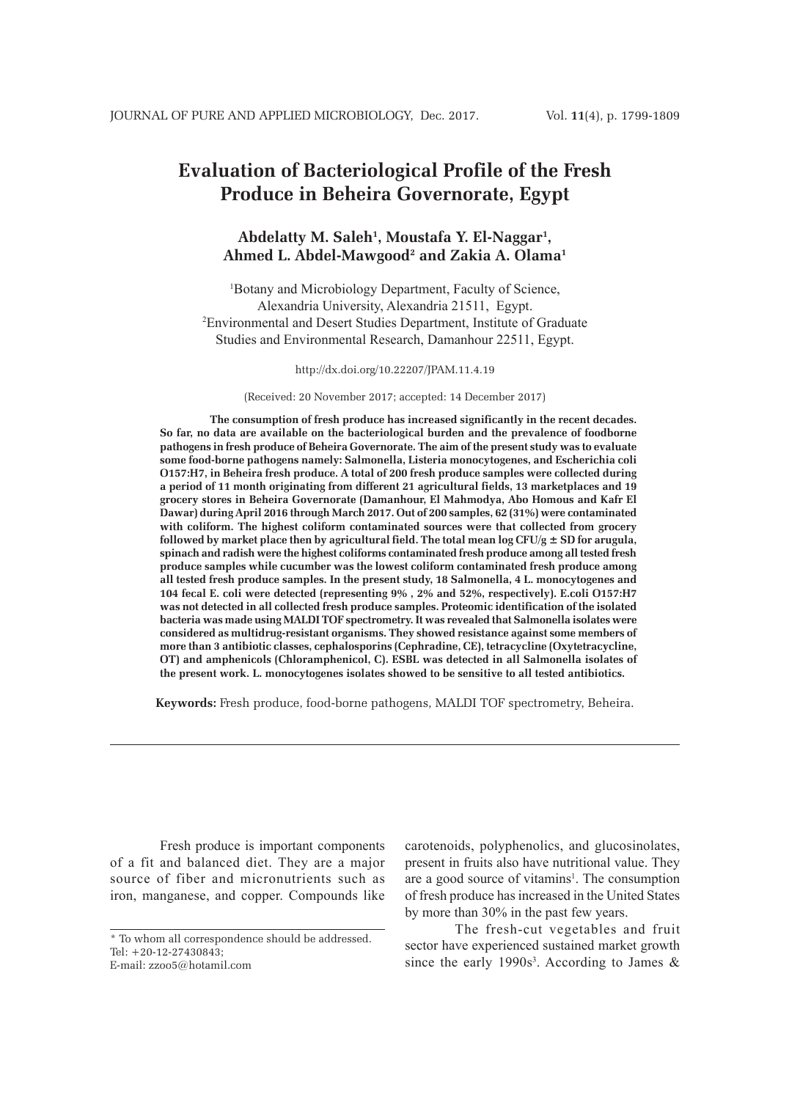# **Evaluation of Bacteriological Profile of the Fresh Produce in Beheira Governorate, Egypt**

# **Abdelatty M. Saleh1 , Moustafa Y. El-Naggar1 , Ahmed L. Abdel-Mawgood2 and Zakia A. Olama1**

1 Botany and Microbiology Department, Faculty of Science, Alexandria University, Alexandria 21511, Egypt. 2 Environmental and Desert Studies Department, Institute of Graduate Studies and Environmental Research, Damanhour 22511, Egypt.

http://dx.doi.org/10.22207/JPAM.11.4.19

(Received: 20 November 2017; accepted: 14 December 2017)

**The consumption of fresh produce has increased significantly in the recent decades. So far, no data are available on the bacteriological burden and the prevalence of foodborne pathogens in fresh produce of Beheira Governorate. The aim of the present study was to evaluate some food-borne pathogens namely: Salmonella, Listeria monocytogenes, and Escherichia coli O157:H7, in Beheira fresh produce. A total of 200 fresh produce samples were collected during a period of 11 month originating from different 21 agricultural fields, 13 marketplaces and 19 grocery stores in Beheira Governorate (Damanhour, El Mahmodya, Abo Homous and Kafr El Dawar) during April 2016 through March 2017. Out of 200 samples, 62 (31%) were contaminated with coliform. The highest coliform contaminated sources were that collected from grocery followed by market place then by agricultural field. The total mean log CFU/g ± SD for arugula, spinach and radish were the highest coliforms contaminated fresh produce among all tested fresh produce samples while cucumber was the lowest coliform contaminated fresh produce among all tested fresh produce samples. In the present study, 18 Salmonella, 4 L. monocytogenes and 104 fecal E. coli were detected (representing 9% , 2% and 52%, respectively). E.coli O157:H7 was not detected in all collected fresh produce samples. Proteomic identification of the isolated bacteria was made using MALDI TOF spectrometry. It was revealed that Salmonella isolates were considered as multidrug-resistant organisms. They showed resistance against some members of more than 3 antibiotic classes, cephalosporins (Cephradine, CE), tetracycline (Oxytetracycline, OT) and amphenicols (Chloramphenicol, C). ESBL was detected in all Salmonella isolates of the present work. L. monocytogenes isolates showed to be sensitive to all tested antibiotics.**

**Keywords:** Fresh produce, food-borne pathogens, MALDI TOF spectrometry, Beheira.

Fresh produce is important components of a fit and balanced diet. They are a major source of fiber and micronutrients such as iron, manganese, and copper. Compounds like

carotenoids, polyphenolics, and glucosinolates, present in fruits also have nutritional value. They are a good source of vitamins<sup>1</sup>. The consumption of fresh produce has increased in the United States by more than 30% in the past few years.

The fresh-cut vegetables and fruit sector have experienced sustained market growth since the early 1990s<sup>3</sup>. According to James  $\&$ 

<sup>\*</sup> To whom all correspondence should be addressed.  $Tel: +20-12-27430843$ E-mail: zzoo5@hotamil.com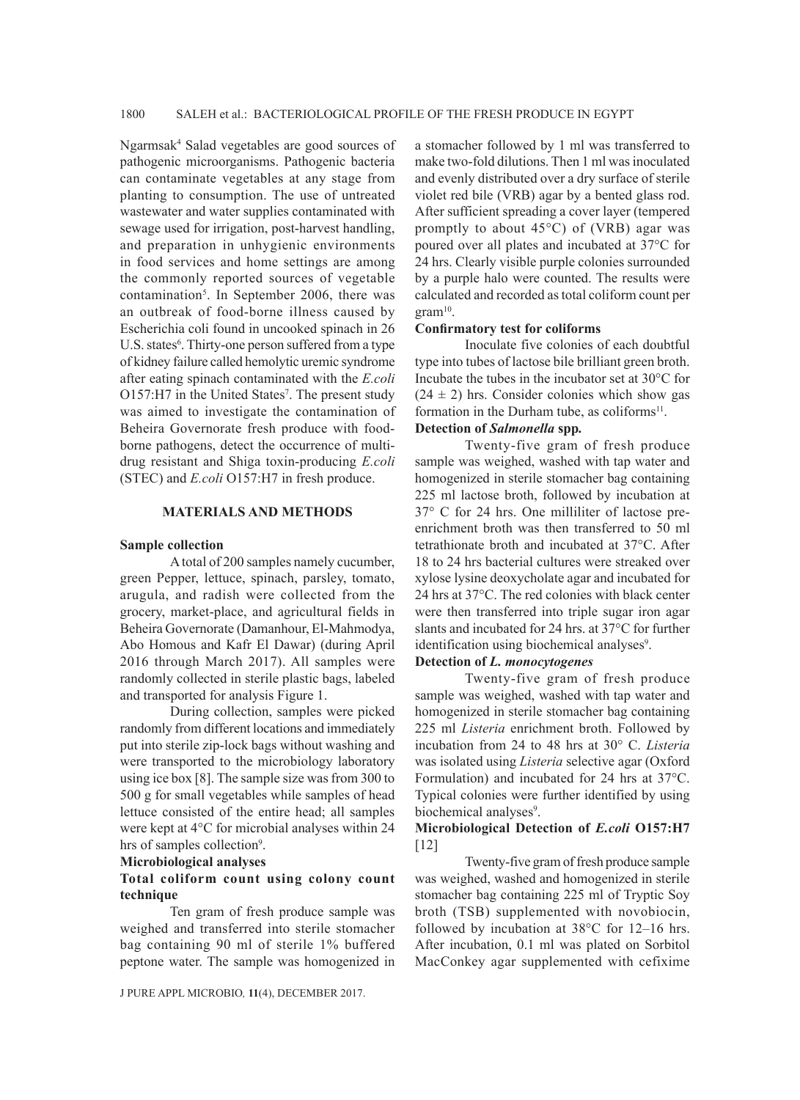Ngarmsak4 Salad vegetables are good sources of pathogenic microorganisms. Pathogenic bacteria can contaminate vegetables at any stage from planting to consumption. The use of untreated wastewater and water supplies contaminated with sewage used for irrigation, post-harvest handling, and preparation in unhygienic environments in food services and home settings are among the commonly reported sources of vegetable contamination<sup>5</sup>. In September 2006, there was an outbreak of food-borne illness caused by Escherichia coli found in uncooked spinach in 26 U.S. states<sup>6</sup>. Thirty-one person suffered from a type of kidney failure called hemolytic uremic syndrome after eating spinach contaminated with the *E.coli* O157:H7 in the United States<sup>7</sup>. The present study was aimed to investigate the contamination of Beheira Governorate fresh produce with foodborne pathogens, detect the occurrence of multidrug resistant and Shiga toxin-producing *E.coli* (STEC) and *E.coli* O157:H7 in fresh produce.

### **MATERIALS AND METHODS**

#### **Sample collection**

A total of 200 samples namely cucumber, green Pepper, lettuce, spinach, parsley, tomato, arugula, and radish were collected from the grocery, market-place, and agricultural fields in Beheira Governorate (Damanhour, El-Mahmodya, Abo Homous and Kafr El Dawar) (during April 2016 through March 2017). All samples were randomly collected in sterile plastic bags, labeled and transported for analysis Figure 1.

During collection, samples were picked randomly from different locations and immediately put into sterile zip-lock bags without washing and were transported to the microbiology laboratory using ice box [8]. The sample size was from 300 to 500 g for small vegetables while samples of head lettuce consisted of the entire head; all samples were kept at 4°C for microbial analyses within 24 hrs of samples collection<sup>9</sup>.

#### **Microbiological analyses**

### **Total coliform count using colony count technique**

Ten gram of fresh produce sample was weighed and transferred into sterile stomacher bag containing 90 ml of sterile 1% buffered peptone water. The sample was homogenized in

a stomacher followed by 1 ml was transferred to make two-fold dilutions. Then 1 ml was inoculated and evenly distributed over a dry surface of sterile violet red bile (VRB) agar by a bented glass rod. After sufficient spreading a cover layer (tempered promptly to about 45°C) of (VRB) agar was poured over all plates and incubated at 37°C for 24 hrs. Clearly visible purple colonies surrounded by a purple halo were counted. The results were calculated and recorded as total coliform count per  $gram<sup>10</sup>$ .

#### **Confirmatory test for coliforms**

Inoculate five colonies of each doubtful type into tubes of lactose bile brilliant green broth. Incubate the tubes in the incubator set at 30°C for  $(24 \pm 2)$  hrs. Consider colonies which show gas formation in the Durham tube, as coliforms<sup>11</sup>.

# **Detection of** *Salmonella* **spp***.*

Twenty-five gram of fresh produce sample was weighed, washed with tap water and homogenized in sterile stomacher bag containing 225 ml lactose broth, followed by incubation at 37° C for 24 hrs. One milliliter of lactose preenrichment broth was then transferred to 50 ml tetrathionate broth and incubated at 37°C. After 18 to 24 hrs bacterial cultures were streaked over xylose lysine deoxycholate agar and incubated for 24 hrs at 37°C. The red colonies with black center were then transferred into triple sugar iron agar slants and incubated for 24 hrs. at 37°C for further identification using biochemical analyses<sup>9</sup>.

### **Detection of** *L. monocytogenes*

Twenty-five gram of fresh produce sample was weighed, washed with tap water and homogenized in sterile stomacher bag containing 225 ml *Listeria* enrichment broth. Followed by incubation from 24 to 48 hrs at 30° C. *Listeria*  was isolated using *Listeria* selective agar (Oxford Formulation) and incubated for 24 hrs at 37°C. Typical colonies were further identified by using biochemical analyses<sup>9</sup>.

### **Microbiological Detection of** *E.coli* **O157:H7**  [12]

Twenty-five gram of fresh produce sample was weighed, washed and homogenized in sterile stomacher bag containing 225 ml of Tryptic Soy broth (TSB) supplemented with novobiocin, followed by incubation at 38°C for 12–16 hrs. After incubation, 0.1 ml was plated on Sorbitol MacConkey agar supplemented with cefixime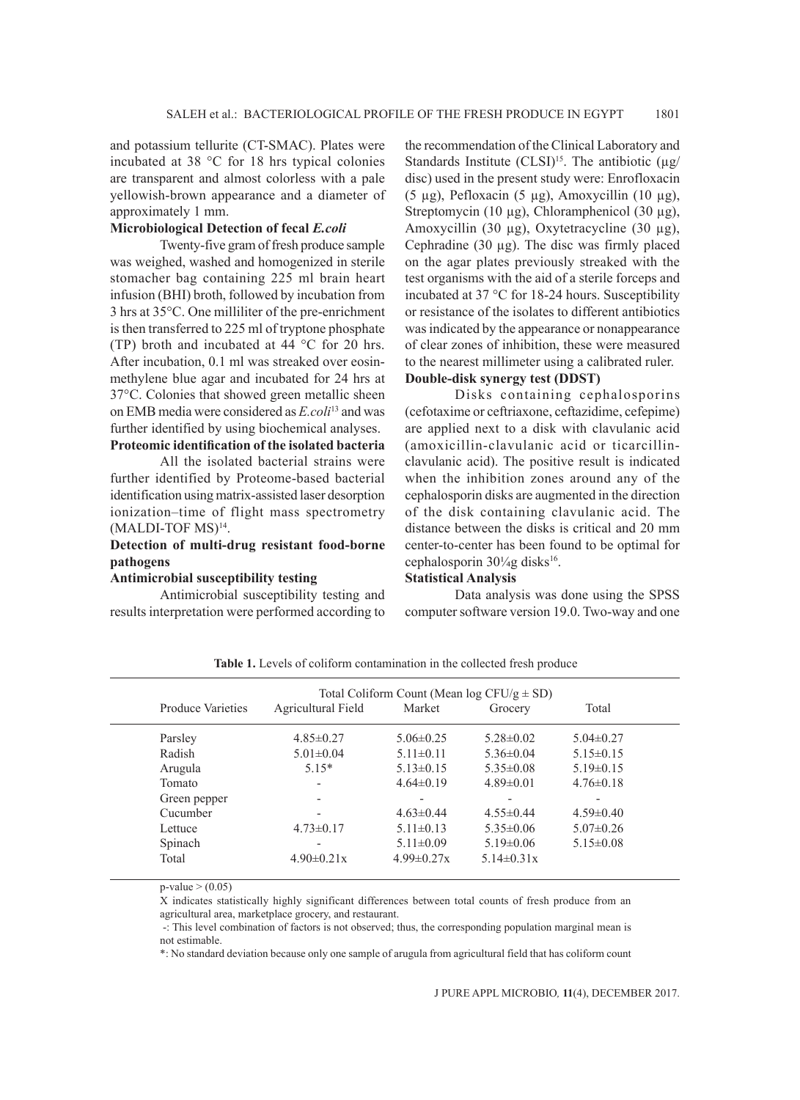and potassium tellurite (CT-SMAC). Plates were incubated at 38 °C for 18 hrs typical colonies are transparent and almost colorless with a pale yellowish-brown appearance and a diameter of approximately 1 mm.

### **Microbiological Detection of fecal** *E.coli*

Twenty-five gram of fresh produce sample was weighed, washed and homogenized in sterile stomacher bag containing 225 ml brain heart infusion (BHI) broth, followed by incubation from 3 hrs at 35°C. One milliliter of the pre-enrichment is then transferred to 225 ml of tryptone phosphate (TP) broth and incubated at 44 °C for 20 hrs. After incubation, 0.1 ml was streaked over eosinmethylene blue agar and incubated for 24 hrs at 37°C. Colonies that showed green metallic sheen on EMB media were considered as *E.coli*13 and was further identified by using biochemical analyses.

# **Proteomic identification of the isolated bacteria**

All the isolated bacterial strains were further identified by Proteome-based bacterial identification using matrix-assisted laser desorption ionization–time of flight mass spectrometry (MALDI-TOF MS)14.

### **Detection of multi-drug resistant food-borne pathogens**

### **Antimicrobial susceptibility testing**

Antimicrobial susceptibility testing and results interpretation were performed according to

the recommendation of the Clinical Laboratory and Standards Institute  $(CLSI)^{15}$ . The antibiotic  $(\mu g)$ disc) used in the present study were: Enrofloxacin (5 µg), Pefloxacin (5 µg), Amoxycillin (10 µg), Streptomycin (10 µg), Chloramphenicol (30 µg), Amoxycillin (30 µg), Oxytetracycline (30 µg), Cephradine (30 µg). The disc was firmly placed on the agar plates previously streaked with the test organisms with the aid of a sterile forceps and incubated at 37 °C for 18-24 hours. Susceptibility or resistance of the isolates to different antibiotics was indicated by the appearance or nonappearance of clear zones of inhibition, these were measured to the nearest millimeter using a calibrated ruler. **Double-disk synergy test (DDST)**

### Disks containing cephalosporins (cefotaxime or ceftriaxone, ceftazidime, cefepime) are applied next to a disk with clavulanic acid (amoxicillin-clavulanic acid or ticarcillinclavulanic acid). The positive result is indicated when the inhibition zones around any of the cephalosporin disks are augmented in the direction of the disk containing clavulanic acid. The distance between the disks is critical and 20 mm center-to-center has been found to be optimal for cephalosporin 30¼g disks<sup>16</sup>.

#### **Statistical Analysis**

Data analysis was done using the SPSS computer software version 19.0. Two-way and one

|                          | Total Coliform Count (Mean $log CFU/g \pm SD$ ) |                  |                          |                 |
|--------------------------|-------------------------------------------------|------------------|--------------------------|-----------------|
| <b>Produce Varieties</b> | Agricultural Field                              | Market           | Grocery                  | Total           |
| Parsley                  | $4.85 \pm 0.27$                                 | $5.06\pm0.25$    | $5.28 \pm 0.02$          | $5.04 \pm 0.27$ |
| Radish                   | $5.01 \pm 0.04$                                 | $5.11 \pm 0.11$  | $5.36 \pm 0.04$          | $5.15 \pm 0.15$ |
| Arugula                  | $5.15*$                                         | $5.13\pm0.15$    | $5.35\pm0.08$            | $5.19 \pm 0.15$ |
| Tomato                   | $\overline{\phantom{0}}$                        | $4.64\pm0.19$    | $4.89\pm0.01$            | $4.76\pm0.18$   |
| Green pepper             | $\overline{\phantom{a}}$                        | $\,$             | $\overline{\phantom{a}}$ |                 |
| Cucumber                 |                                                 | $4.63\pm0.44$    | $4.55\pm0.44$            | $4.59\pm0.40$   |
| Lettuce                  | $4.73\pm0.17$                                   | $5.11 \pm 0.13$  | $5.35\pm0.06$            | $5.07\pm0.26$   |
| Spinach                  | $\overline{\phantom{0}}$                        | $5.11 \pm 0.09$  | $5.19 \pm 0.06$          | $5.15 \pm 0.08$ |
| Total                    | $4.90\pm0.21x$                                  | $4.99 \pm 0.27x$ | $5.14\pm0.31x$           |                 |

Table 1. Levels of coliform contamination in the collected fresh produce

 $p-value$  > (0.05)

X indicates statistically highly significant differences between total counts of fresh produce from an agricultural area, marketplace grocery, and restaurant.

 -: This level combination of factors is not observed; thus, the corresponding population marginal mean is not estimable.

\*: No standard deviation because only one sample of arugula from agricultural field that has coliform count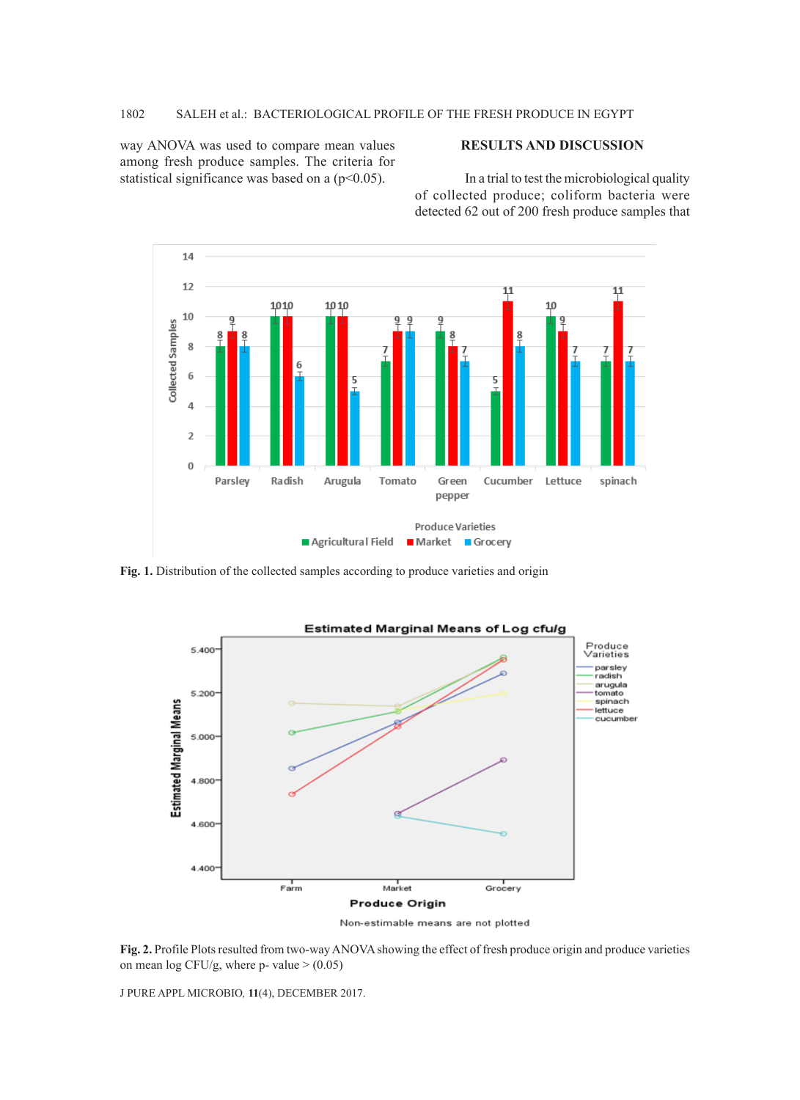way ANOVA was used to compare mean values among fresh produce samples. The criteria for statistical significance was based on a  $(p<0.05)$ .

# **RESULTS AND DISCUSSION**

In a trial to test the microbiological quality of collected produce; coliform bacteria were detected 62 out of 200 fresh produce samples that



Fig. 1. Distribution of the collected samples according to produce varieties and origin



Non-estimable means are not plotted

**Fig. 2.** Profile Plots resulted from two-way ANOVA showing the effect of fresh produce origin and produce varieties on mean log CFU/g, where p- value  $>$  (0.05)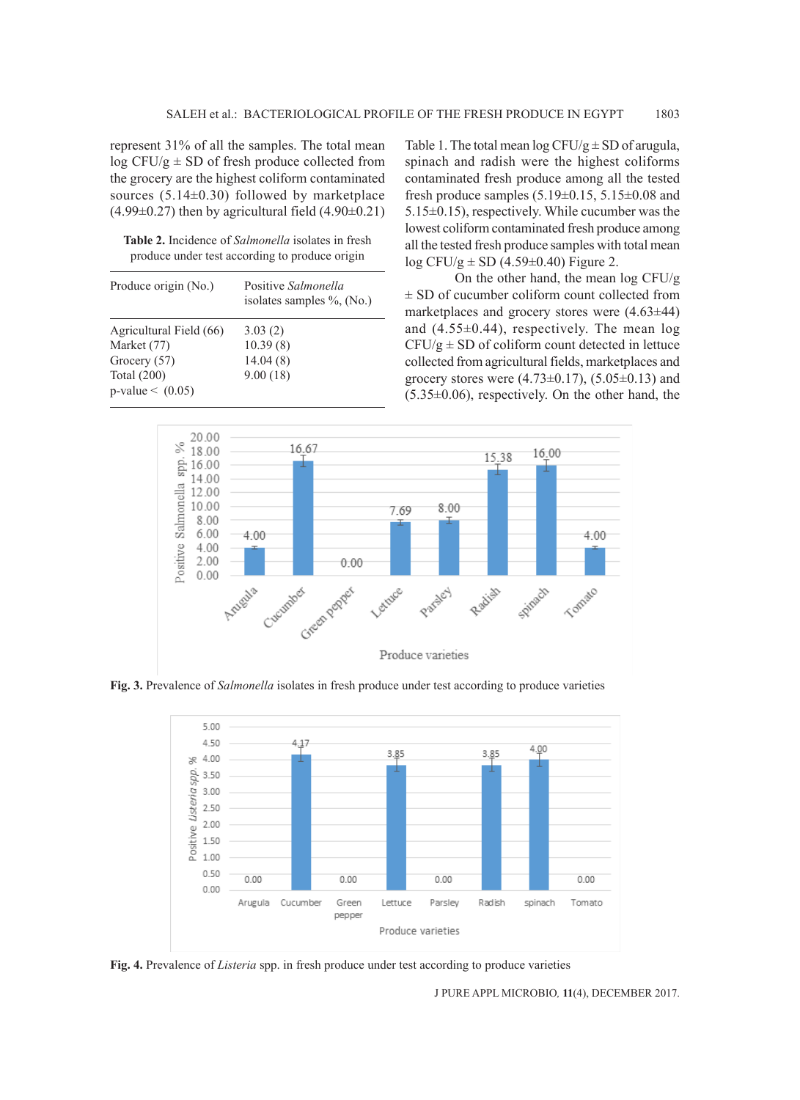represent 31% of all the samples. The total mean  $\log$  CFU/g  $\pm$  SD of fresh produce collected from the grocery are the highest coliform contaminated sources  $(5.14\pm0.30)$  followed by marketplace  $(4.99\pm0.27)$  then by agricultural field  $(4.90\pm0.21)$ 

**Table 2.** Incidence of *Salmonella* isolates in fresh produce under test according to produce origin

| Produce origin (No.)    | Positive Salmonella<br>isolates samples $\%$ , (No.) |  |  |
|-------------------------|------------------------------------------------------|--|--|
| Agricultural Field (66) | 3.03(2)                                              |  |  |
| Market (77)             | 10.39(8)                                             |  |  |
| Grocery (57)            | 14.04(8)                                             |  |  |
| Total $(200)$           | 9.00(18)                                             |  |  |
| $p-value < (0.05)$      |                                                      |  |  |

Table 1. The total mean  $\log CFU/g \pm SD$  of arugula, spinach and radish were the highest coliforms contaminated fresh produce among all the tested fresh produce samples  $(5.19\pm0.15, 5.15\pm0.08$  and 5.15±0.15), respectively. While cucumber was the lowest coliform contaminated fresh produce among all the tested fresh produce samples with total mean  $log CFU/g = SD(4.59\pm0.40)$  Figure 2.

On the other hand, the mean log CFU/g ± SD of cucumber coliform count collected from marketplaces and grocery stores were (4.63±44) and (4.55±0.44), respectively. The mean log  $CFU/g \pm SD$  of coliform count detected in lettuce collected from agricultural fields, marketplaces and grocery stores were  $(4.73 \pm 0.17)$ ,  $(5.05 \pm 0.13)$  and  $(5.35\pm0.06)$ , respectively. On the other hand, the



**Fig. 3.** Prevalence of *Salmonella* isolates in fresh produce under test according to produce varieties



**Fig. 4.** Prevalence of *Listeria* spp. in fresh produce under test according to produce varieties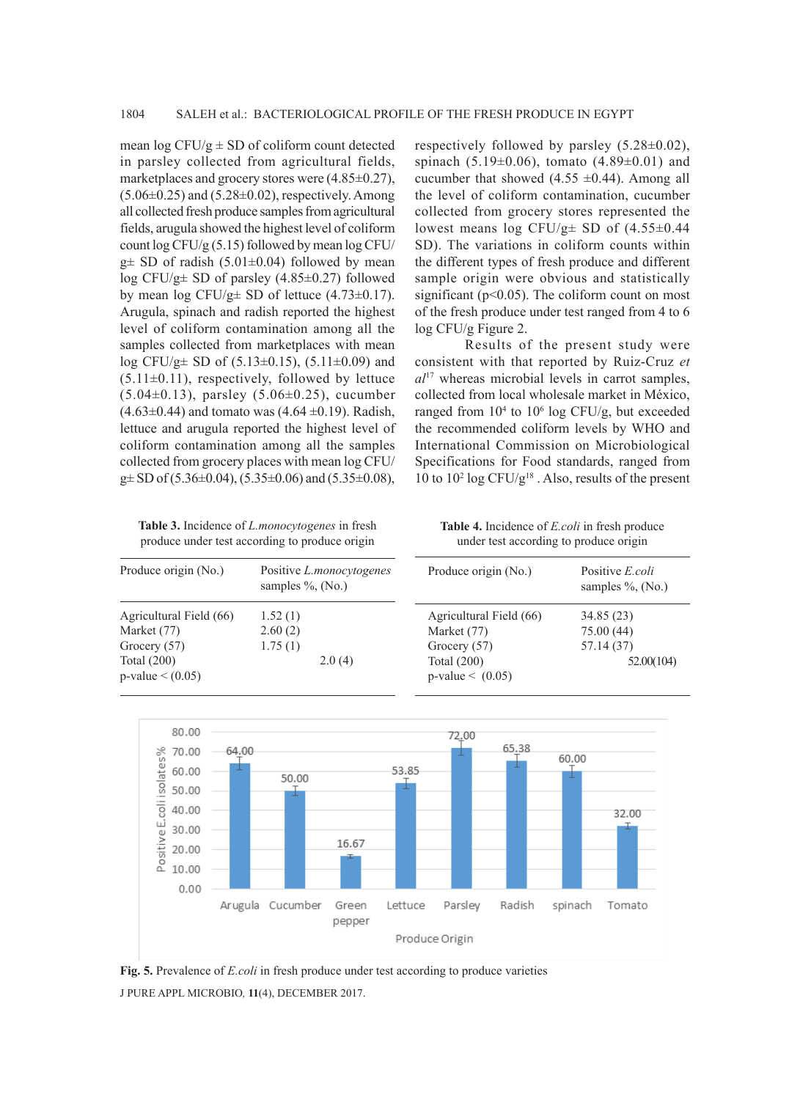mean  $\log$  CFU/g  $\pm$  SD of coliform count detected in parsley collected from agricultural fields, marketplaces and grocery stores were (4.85±0.27),  $(5.06\pm0.25)$  and  $(5.28\pm0.02)$ , respectively. Among all collected fresh produce samples from agricultural fields, arugula showed the highest level of coliform count log CFU/g (5.15) followed by mean log CFU/  $g\pm$  SD of radish (5.01 $\pm$ 0.04) followed by mean log CFU/g± SD of parsley (4.85±0.27) followed by mean  $\log$  CFU/g $\pm$  SD of lettuce (4.73 $\pm$ 0.17). Arugula, spinach and radish reported the highest level of coliform contamination among all the samples collected from marketplaces with mean log CFU/g $\pm$  SD of (5.13 $\pm$ 0.15), (5.11 $\pm$ 0.09) and  $(5.11\pm0.11)$ , respectively, followed by lettuce (5.04±0.13), parsley (5.06±0.25), cucumber  $(4.63\pm0.44)$  and tomato was  $(4.64\pm0.19)$ . Radish, lettuce and arugula reported the highest level of coliform contamination among all the samples collected from grocery places with mean log CFU/  $g\pm$  SD of (5.36 $\pm$ 0.04), (5.35 $\pm$ 0.06) and (5.35 $\pm$ 0.08), respectively followed by parsley  $(5.28 \pm 0.02)$ , spinach  $(5.19\pm0.06)$ , tomato  $(4.89\pm0.01)$  and cucumber that showed  $(4.55 \pm 0.44)$ . Among all the level of coliform contamination, cucumber collected from grocery stores represented the lowest means log CFU/g± SD of (4.55±0.44 SD). The variations in coliform counts within the different types of fresh produce and different sample origin were obvious and statistically significant ( $p<0.05$ ). The coliform count on most of the fresh produce under test ranged from 4 to 6 log CFU/g Figure 2.

Results of the present study were consistent with that reported by Ruiz-Cruz *et al*17 whereas microbial levels in carrot samples, collected from local wholesale market in México, ranged from  $10^4$  to  $10^6$  log CFU/g, but exceeded the recommended coliform levels by WHO and International Commission on Microbiological Specifications for Food standards, ranged from 10 to  $10^2$  log CFU/g<sup>18</sup>. Also, results of the present

**Table 3.** Incidence of *L.monocytogenes* in fresh produce under test according to produce origin

**Table 4.** Incidence of *E.coli* in fresh produce under test according to produce origin

| Produce origin (No.)                | Positive <i>L.monocytogenes</i><br>samples $\%$ , (No.) | Produce origin (No.)                | Positive <i>E.coli</i><br>samples $\%$ , (No.) |
|-------------------------------------|---------------------------------------------------------|-------------------------------------|------------------------------------------------|
| Agricultural Field (66)             | 1.52(1)                                                 | Agricultural Field (66)             | 34.85(23)                                      |
| Market (77)                         | 2.60(2)                                                 | Market (77)                         | 75.00(44)                                      |
| Grocery (57)                        | 1.75(1)                                                 | Grocery $(57)$                      | 57.14 (37)                                     |
| Total $(200)$<br>$p-value < (0.05)$ | 2.0(4)                                                  | Total $(200)$<br>$p-value < (0.05)$ | 52.00(104)                                     |



J PURE APPL MICROBIO*,* **11**(4), DECEMBER 2017. **Fig. 5.** Prevalence of *E.coli* in fresh produce under test according to produce varieties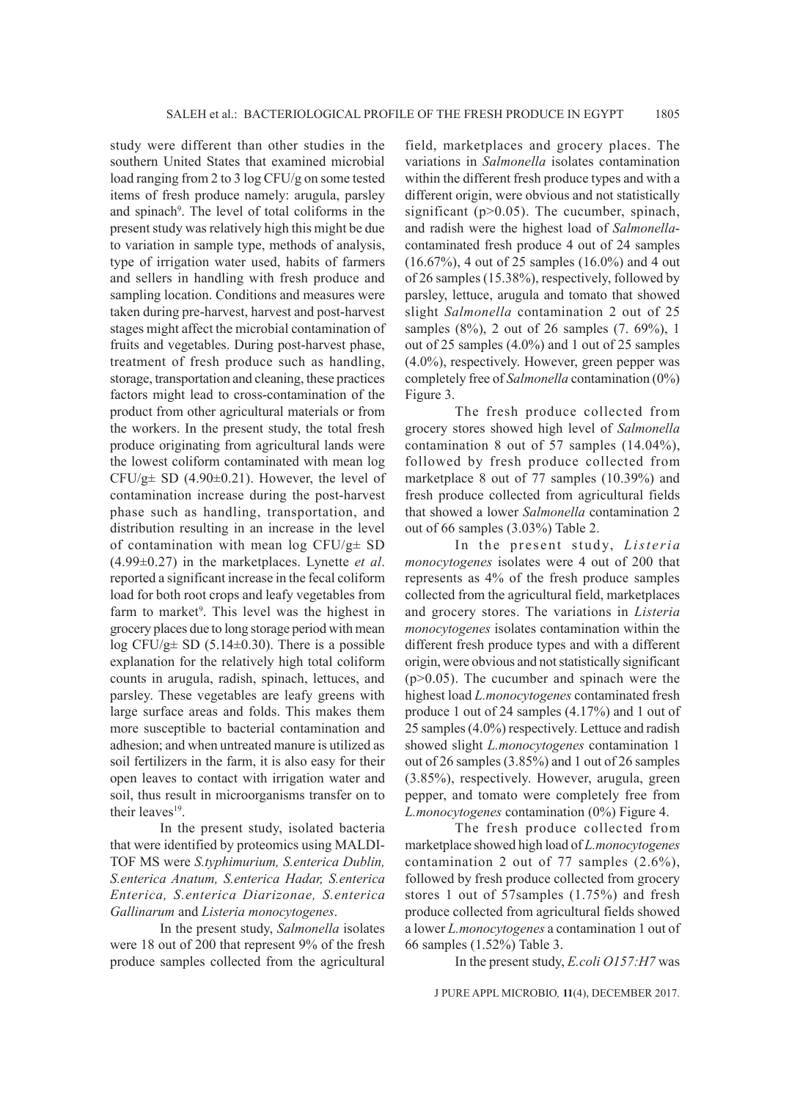study were different than other studies in the southern United States that examined microbial load ranging from 2 to 3 log CFU/g on some tested items of fresh produce namely: arugula, parsley and spinach<sup>9</sup>. The level of total coliforms in the present study was relatively high this might be due to variation in sample type, methods of analysis, type of irrigation water used, habits of farmers and sellers in handling with fresh produce and sampling location. Conditions and measures were taken during pre-harvest, harvest and post-harvest stages might affect the microbial contamination of fruits and vegetables. During post-harvest phase, treatment of fresh produce such as handling, storage, transportation and cleaning, these practices factors might lead to cross-contamination of the product from other agricultural materials or from the workers. In the present study, the total fresh produce originating from agricultural lands were the lowest coliform contaminated with mean log CFU/g $\pm$  SD (4.90 $\pm$ 0.21). However, the level of contamination increase during the post-harvest phase such as handling, transportation, and distribution resulting in an increase in the level of contamination with mean log CFU/g± SD (4.99±0.27) in the marketplaces. Lynette *et al*. reported a significant increase in the fecal coliform load for both root crops and leafy vegetables from farm to market<sup>9</sup>. This level was the highest in grocery places due to long storage period with mean log CFU/g $\pm$  SD (5.14 $\pm$ 0.30). There is a possible explanation for the relatively high total coliform counts in arugula, radish, spinach, lettuces, and parsley. These vegetables are leafy greens with large surface areas and folds. This makes them more susceptible to bacterial contamination and adhesion; and when untreated manure is utilized as soil fertilizers in the farm, it is also easy for their open leaves to contact with irrigation water and soil, thus result in microorganisms transfer on to their leaves<sup>19</sup>.

In the present study, isolated bacteria that were identified by proteomics using MALDI-TOF MS were *S.typhimurium, S.enterica Dublin, S.enterica Anatum, S.enterica Hadar, S.enterica Enterica, S.enterica Diarizonae, S.enterica Gallinarum* and *Listeria monocytogenes*.

In the present study, *Salmonella* isolates were 18 out of 200 that represent 9% of the fresh produce samples collected from the agricultural field, marketplaces and grocery places. The variations in *Salmonella* isolates contamination within the different fresh produce types and with a different origin, were obvious and not statistically significant ( $p>0.05$ ). The cucumber, spinach, and radish were the highest load of *Salmonella*contaminated fresh produce 4 out of 24 samples (16.67%), 4 out of 25 samples (16.0%) and 4 out of 26 samples (15.38%), respectively, followed by parsley, lettuce, arugula and tomato that showed slight *Salmonella* contamination 2 out of 25 samples (8%), 2 out of 26 samples (7. 69%), 1 out of 25 samples (4.0%) and 1 out of 25 samples (4.0%), respectively. However, green pepper was completely free of *Salmonella* contamination (0%) Figure 3.

The fresh produce collected from grocery stores showed high level of *Salmonella* contamination 8 out of 57 samples (14.04%), followed by fresh produce collected from marketplace 8 out of 77 samples (10.39%) and fresh produce collected from agricultural fields that showed a lower *Salmonella* contamination 2 out of 66 samples (3.03%) Table 2.

In the present study, Listeria *monocytogenes* isolates were 4 out of 200 that represents as 4% of the fresh produce samples collected from the agricultural field, marketplaces and grocery stores. The variations in *Listeria monocytogenes* isolates contamination within the different fresh produce types and with a different origin, were obvious and not statistically significant (p>0.05). The cucumber and spinach were the highest load *L.monocytogenes* contaminated fresh produce 1 out of 24 samples (4.17%) and 1 out of 25 samples (4.0%) respectively. Lettuce and radish showed slight *L.monocytogenes* contamination 1 out of 26 samples (3.85%) and 1 out of 26 samples (3.85%), respectively. However, arugula, green pepper, and tomato were completely free from *L.monocytogenes* contamination (0%) Figure 4.

The fresh produce collected from marketplace showed high load of *L.monocytogenes* contamination 2 out of 77 samples (2.6%), followed by fresh produce collected from grocery stores 1 out of 57samples (1.75%) and fresh produce collected from agricultural fields showed a lower *L.monocytogenes* a contamination 1 out of 66 samples (1.52%) Table 3.

In the present study, *E.coli O157:H7* was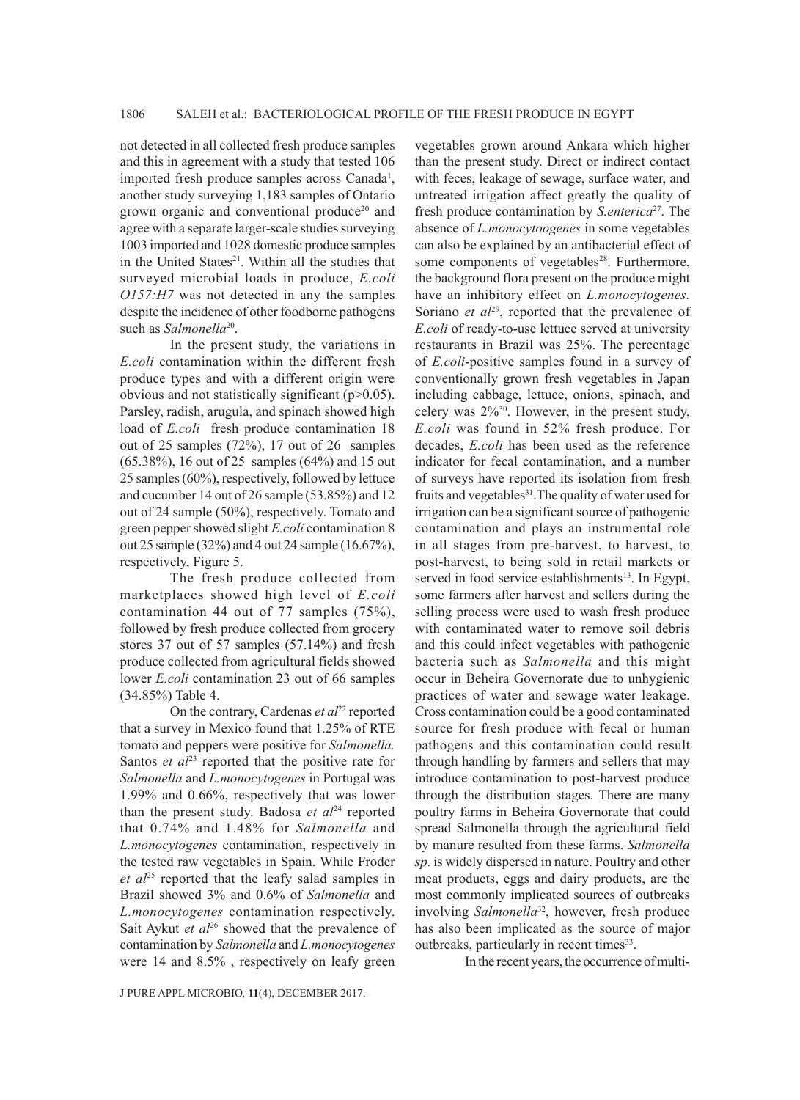not detected in all collected fresh produce samples and this in agreement with a study that tested 106 imported fresh produce samples across Canada<sup>1</sup>, another study surveying 1,183 samples of Ontario grown organic and conventional produce<sup>20</sup> and agree with a separate larger-scale studies surveying 1003 imported and 1028 domestic produce samples in the United States<sup>21</sup>. Within all the studies that surveyed microbial loads in produce, *E.coli O157:H7* was not detected in any the samples despite the incidence of other foodborne pathogens such as *Salmonella*<sup>20</sup>.

In the present study, the variations in *E.coli* contamination within the different fresh produce types and with a different origin were obvious and not statistically significant (p>0.05). Parsley, radish, arugula, and spinach showed high load of *E.coli* fresh produce contamination 18 out of 25 samples (72%), 17 out of 26 samples (65.38%), 16 out of 25 samples (64%) and 15 out 25 samples (60%), respectively, followed by lettuce and cucumber 14 out of 26 sample (53.85%) and 12 out of 24 sample (50%), respectively. Tomato and green pepper showed slight *E.coli* contamination 8 out 25 sample (32%) and 4 out 24 sample (16.67%), respectively, Figure 5.

The fresh produce collected from marketplaces showed high level of *E.coli* contamination 44 out of 77 samples (75%), followed by fresh produce collected from grocery stores 37 out of 57 samples (57.14%) and fresh produce collected from agricultural fields showed lower *E.coli* contamination 23 out of 66 samples (34.85%) Table 4.

On the contrary, Cardenas *et al*<sup>22</sup> reported that a survey in Mexico found that 1.25% of RTE tomato and peppers were positive for *Salmonella.*  Santos *et al*<sup>23</sup> reported that the positive rate for *Salmonella* and *L.monocytogenes* in Portugal was 1.99% and 0.66%, respectively that was lower than the present study. Badosa  $et \t a l^{24}$  reported that 0.74% and 1.48% for *Salmonella* and *L.monocytogenes* contamination, respectively in the tested raw vegetables in Spain. While Froder *et al*25 reported that the leafy salad samples in Brazil showed 3% and 0.6% of *Salmonella* and *L.monocytogenes* contamination respectively. Sait Aykut *et al*<sup>26</sup> showed that the prevalence of contamination by *Salmonella* and *L.monocytogenes* were 14 and 8.5% , respectively on leafy green

vegetables grown around Ankara which higher than the present study. Direct or indirect contact with feces, leakage of sewage, surface water, and untreated irrigation affect greatly the quality of fresh produce contamination by *S.enterica*27. The absence of *L.monocytoogenes* in some vegetables can also be explained by an antibacterial effect of some components of vegetables<sup>28</sup>. Furthermore, the background flora present on the produce might have an inhibitory effect on *L.monocytogenes.* Soriano *et al*<sup>29</sup>, reported that the prevalence of *E.coli* of ready-to-use lettuce served at university restaurants in Brazil was 25%. The percentage of *E.coli*-positive samples found in a survey of conventionally grown fresh vegetables in Japan including cabbage, lettuce, onions, spinach, and celery was 2%30. However, in the present study, *E.coli* was found in 52% fresh produce. For decades, *E.coli* has been used as the reference indicator for fecal contamination, and a number of surveys have reported its isolation from fresh fruits and vegetables<sup>31</sup>. The quality of water used for irrigation can be a significant source of pathogenic contamination and plays an instrumental role in all stages from pre-harvest, to harvest, to post-harvest, to being sold in retail markets or served in food service establishments<sup>13</sup>. In Egypt, some farmers after harvest and sellers during the selling process were used to wash fresh produce with contaminated water to remove soil debris and this could infect vegetables with pathogenic bacteria such as *Salmonella* and this might occur in Beheira Governorate due to unhygienic practices of water and sewage water leakage. Cross contamination could be a good contaminated source for fresh produce with fecal or human pathogens and this contamination could result through handling by farmers and sellers that may introduce contamination to post-harvest produce through the distribution stages. There are many poultry farms in Beheira Governorate that could spread Salmonella through the agricultural field by manure resulted from these farms. *Salmonella sp*. is widely dispersed in nature. Poultry and other meat products, eggs and dairy products, are the most commonly implicated sources of outbreaks involving *Salmonella*32, however, fresh produce has also been implicated as the source of major outbreaks, particularly in recent times<sup>33</sup>.

In the recent years, the occurrence of multi-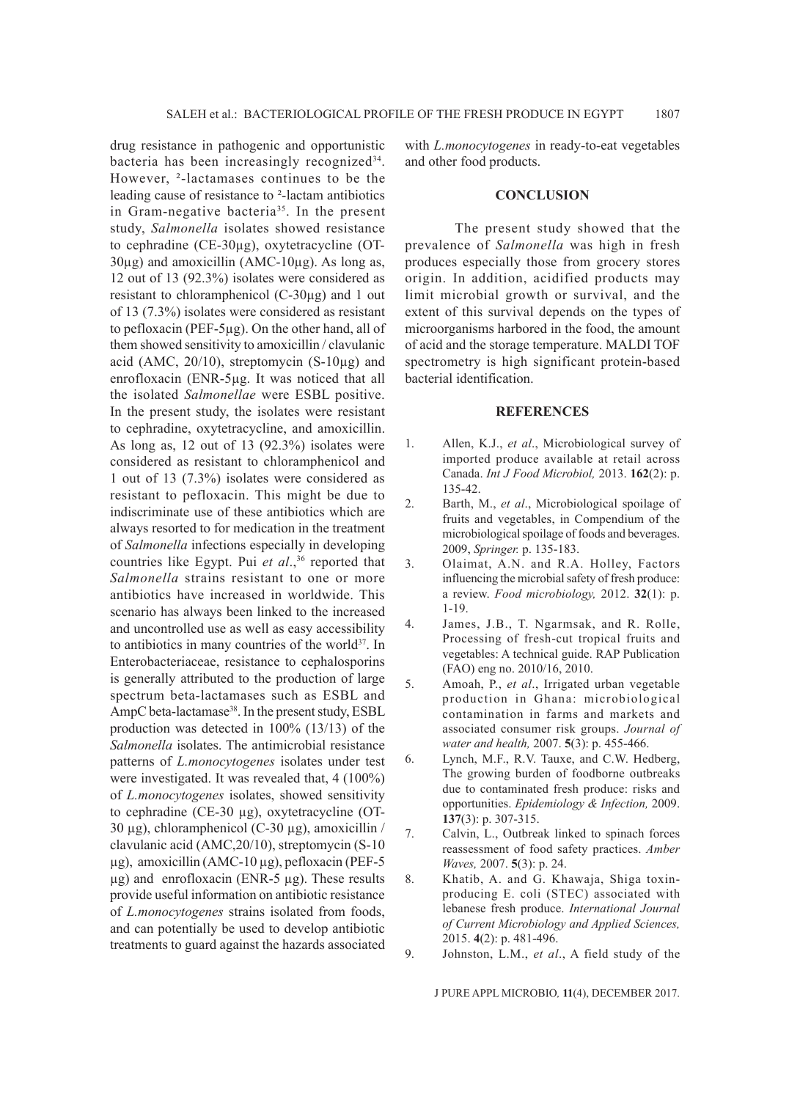drug resistance in pathogenic and opportunistic bacteria has been increasingly recognized<sup>34</sup>. However, ²-lactamases continues to be the leading cause of resistance to ²-lactam antibiotics in Gram-negative bacteria<sup>35</sup>. In the present study, *Salmonella* isolates showed resistance to cephradine (CE-30µg), oxytetracycline (OT- $30\mu$ g) and amoxicillin (AMC-10 $\mu$ g). As long as, 12 out of 13 (92.3%) isolates were considered as resistant to chloramphenicol (C-30µg) and 1 out of 13 (7.3%) isolates were considered as resistant to pefloxacin (PEF-5µg). On the other hand, all of them showed sensitivity to amoxicillin / clavulanic acid (AMC,  $20/10$ ), streptomycin (S-10 $\mu$ g) and enrofloxacin (ENR-5µg. It was noticed that all the isolated *Salmonellae* were ESBL positive. In the present study, the isolates were resistant to cephradine, oxytetracycline, and amoxicillin. As long as, 12 out of 13 (92.3%) isolates were considered as resistant to chloramphenicol and 1 out of 13 (7.3%) isolates were considered as resistant to pefloxacin. This might be due to indiscriminate use of these antibiotics which are always resorted to for medication in the treatment of *Salmonella* infections especially in developing countries like Egypt. Pui et al.,<sup>36</sup> reported that *Salmonella* strains resistant to one or more antibiotics have increased in worldwide. This scenario has always been linked to the increased and uncontrolled use as well as easy accessibility to antibiotics in many countries of the world<sup>37</sup>. In Enterobacteriaceae, resistance to cephalosporins is generally attributed to the production of large spectrum beta-lactamases such as ESBL and AmpC beta-lactamase<sup>38</sup>. In the present study, ESBL production was detected in 100% (13/13) of the *Salmonella* isolates. The antimicrobial resistance patterns of *L.monocytogenes* isolates under test were investigated. It was revealed that, 4 (100%) of *L.monocytogenes* isolates, showed sensitivity to cephradine (CE-30 µg), oxytetracycline (OT-30 µg), chloramphenicol (C-30 µg), amoxicillin / clavulanic acid (AMC,20/10), streptomycin (S-10 µg), amoxicillin (AMC-10 µg), pefloxacin (PEF-5 µg) and enrofloxacin (ENR-5 µg). These results provide useful information on antibiotic resistance of *L.monocytogenes* strains isolated from foods, and can potentially be used to develop antibiotic treatments to guard against the hazards associated

with *L.monocytogenes* in ready-to-eat vegetables and other food products.

### **CONCLUSION**

The present study showed that the prevalence of *Salmonella* was high in fresh produces especially those from grocery stores origin. In addition, acidified products may limit microbial growth or survival, and the extent of this survival depends on the types of microorganisms harbored in the food, the amount of acid and the storage temperature. MALDI TOF spectrometry is high significant protein-based bacterial identification.

### **REFERENCES**

- 1. Allen, K.J., *et al*., Microbiological survey of imported produce available at retail across Canada. *Int J Food Microbiol,* 2013. **162**(2): p. 135-42.
- 2. Barth, M., *et al*., Microbiological spoilage of fruits and vegetables, in Compendium of the microbiological spoilage of foods and beverages. 2009, *Springer.* p. 135-183.
- 3. Olaimat, A.N. and R.A. Holley, Factors influencing the microbial safety of fresh produce: a review. *Food microbiology,* 2012. **32**(1): p. 1-19.
- 4. James, J.B., T. Ngarmsak, and R. Rolle, Processing of fresh-cut tropical fruits and vegetables: A technical guide. RAP Publication (FAO) eng no. 2010/16, 2010.
- 5. Amoah, P., *et al*., Irrigated urban vegetable production in Ghana: microbiological contamination in farms and markets and associated consumer risk groups. *Journal of water and health,* 2007. **5**(3): p. 455-466.
- 6. Lynch, M.F., R.V. Tauxe, and C.W. Hedberg, The growing burden of foodborne outbreaks due to contaminated fresh produce: risks and opportunities. *Epidemiology & Infection,* 2009. **137**(3): p. 307-315.
- 7. Calvin, L., Outbreak linked to spinach forces reassessment of food safety practices. *Amber Waves,* 2007. **5**(3): p. 24.
- 8. Khatib, A. and G. Khawaja, Shiga toxinproducing E. coli (STEC) associated with lebanese fresh produce. *International Journal of Current Microbiology and Applied Sciences,*  2015. **4**(2): p. 481-496.
- 9. Johnston, L.M., *et al*., A field study of the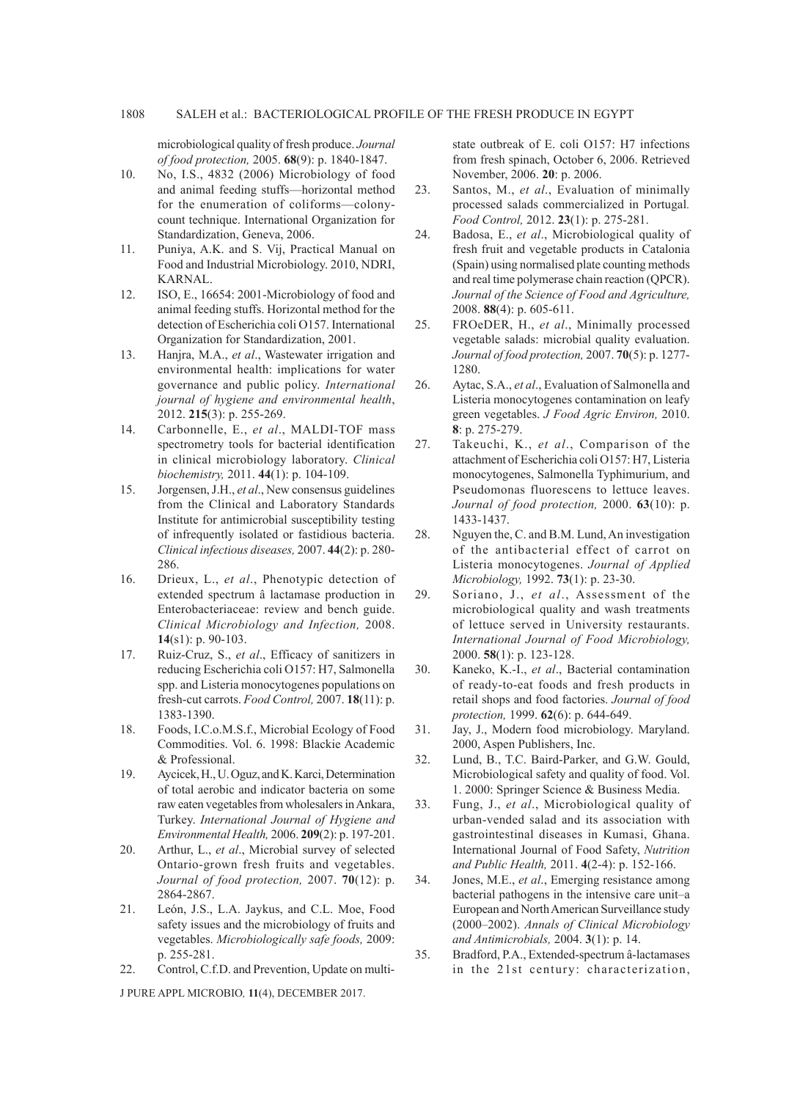microbiological quality of fresh produce. *Journal of food protection,* 2005. **68**(9): p. 1840-1847.

- 10. No, I.S., 4832 (2006) Microbiology of food and animal feeding stuffs—horizontal method for the enumeration of coliforms—colonycount technique. International Organization for Standardization, Geneva, 2006.
- 11. Puniya, A.K. and S. Vij, Practical Manual on Food and Industrial Microbiology. 2010, NDRI, KARNAL.
- 12. ISO, E., 16654: 2001-Microbiology of food and animal feeding stuffs. Horizontal method for the detection of Escherichia coli O157. International Organization for Standardization, 2001.
- 13. Hanjra, M.A., *et al*., Wastewater irrigation and environmental health: implications for water governance and public policy. *International journal of hygiene and environmental health*, 2012. **215**(3): p. 255-269.
- 14. Carbonnelle, E., *et al*., MALDI-TOF mass spectrometry tools for bacterial identification in clinical microbiology laboratory. *Clinical biochemistry,* 2011. **44**(1): p. 104-109.
- 15. Jorgensen, J.H., *et al*., New consensus guidelines from the Clinical and Laboratory Standards Institute for antimicrobial susceptibility testing of infrequently isolated or fastidious bacteria. *Clinical infectious diseases,* 2007. **44**(2): p. 280- 286.
- 16. Drieux, L., *et al*., Phenotypic detection of extended spectrum â lactamase production in Enterobacteriaceae: review and bench guide. *Clinical Microbiology and Infection,* 2008. **14**(s1): p. 90-103.
- 17. Ruiz-Cruz, S., *et al*., Efficacy of sanitizers in reducing Escherichia coli O157: H7, Salmonella spp. and Listeria monocytogenes populations on fresh-cut carrots. *Food Control,* 2007. **18**(11): p. 1383-1390.
- 18. Foods, I.C.o.M.S.f., Microbial Ecology of Food Commodities. Vol. 6. 1998: Blackie Academic & Professional.
- 19. Aycicek, H., U. Oguz, and K. Karci, Determination of total aerobic and indicator bacteria on some raw eaten vegetables from wholesalers in Ankara, Turkey. *International Journal of Hygiene and Environmental Health,* 2006. **209**(2): p. 197-201.
- 20. Arthur, L., *et al*., Microbial survey of selected Ontario-grown fresh fruits and vegetables. *Journal of food protection,* 2007. **70**(12): p. 2864-2867.
- 21. León, J.S., L.A. Jaykus, and C.L. Moe, Food safety issues and the microbiology of fruits and vegetables. *Microbiologically safe foods,* 2009: p. 255-281.
- 22. Control, C.f.D. and Prevention, Update on multi-

J PURE APPL MICROBIO*,* **11**(4), DECEMBER 2017.

state outbreak of E. coli O157: H7 infections from fresh spinach, October 6, 2006. Retrieved November, 2006. **20**: p. 2006.

- 23. Santos, M., *et al*., Evaluation of minimally processed salads commercialized in Portugal*. Food Control,* 2012. **23**(1): p. 275-281.
- 24. Badosa, E., *et al*., Microbiological quality of fresh fruit and vegetable products in Catalonia (Spain) using normalised plate counting methods and real time polymerase chain reaction (QPCR). *Journal of the Science of Food and Agriculture,* 2008. **88**(4): p. 605-611.
- 25. FROeDER, H., *et al*., Minimally processed vegetable salads: microbial quality evaluation. *Journal of food protection,* 2007. **70**(5): p. 1277- 1280.
- 26. Aytac, S.A., *et al*., Evaluation of Salmonella and Listeria monocytogenes contamination on leafy green vegetables. *J Food Agric Environ,* 2010. **8**: p. 275-279.
- 27. Takeuchi, K., *et al*., Comparison of the attachment of Escherichia coli O157: H7, Listeria monocytogenes, Salmonella Typhimurium, and Pseudomonas fluorescens to lettuce leaves. *Journal of food protection,* 2000. **63**(10): p. 1433-1437.
- 28. Nguyen the, C. and B.M. Lund, An investigation of the antibacterial effect of carrot on Listeria monocytogenes. *Journal of Applied Microbiology,* 1992. **73**(1): p. 23-30.
- 29. Soriano, J., *et al*., Assessment of the microbiological quality and wash treatments of lettuce served in University restaurants. *International Journal of Food Microbiology,*  2000. **58**(1): p. 123-128.
- 30. Kaneko, K.-I., *et al*., Bacterial contamination of ready-to-eat foods and fresh products in retail shops and food factories. *Journal of food protection,* 1999. **62**(6): p. 644-649.
- 31. Jay, J., Modern food microbiology. Maryland. 2000, Aspen Publishers, Inc.
- 32. Lund, B., T.C. Baird-Parker, and G.W. Gould, Microbiological safety and quality of food. Vol. 1. 2000: Springer Science & Business Media.
- 33. Fung, J., *et al*., Microbiological quality of urban-vended salad and its association with gastrointestinal diseases in Kumasi, Ghana. International Journal of Food Safety, *Nutrition and Public Health,* 2011. **4**(2-4): p. 152-166.
- 34. Jones, M.E., *et al*., Emerging resistance among bacterial pathogens in the intensive care unit–a European and North American Surveillance study (2000–2002). *Annals of Clinical Microbiology and Antimicrobials,* 2004. **3**(1): p. 14.
- 35. Bradford, P.A., Extended-spectrum â-lactamases in the 21st century: characterization,